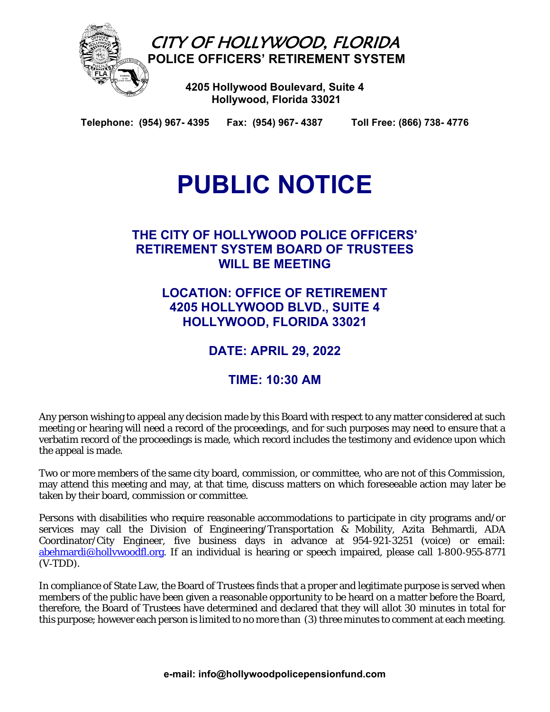

**Telephone: (954) 967- 4395 Fax: (954) 967- 4387 Toll Free: (866) 738- 4776** 

# **PUBLIC NOTICE**

## **THE CITY OF HOLLYWOOD POLICE OFFICERS' RETIREMENT SYSTEM BOARD OF TRUSTEES WILL BE MEETING**

**LOCATION: OFFICE OF RETIREMENT 4205 HOLLYWOOD BLVD., SUITE 4 HOLLYWOOD, FLORIDA 33021** 

**DATE: APRIL 29, 2022** 

## **TIME: 10:30 AM**

Any person wishing to appeal any decision made by this Board with respect to any matter considered at such meeting or hearing will need a record of the proceedings, and for such purposes may need to ensure that a verbatim record of the proceedings is made, which record includes the testimony and evidence upon which the appeal is made.

Two or more members of the same city board, commission, or committee, who are not of this Commission, may attend this meeting and may, at that time, discuss matters on which foreseeable action may later be taken by their board, commission or committee.

Persons with disabilities who require reasonable accommodations to participate in city programs and/or services may call the Division of Engineering/Transportation & Mobility, Azita Behmardi, ADA Coordinator/City Engineer, five business days in advance at 954-921-3251 (voice) or email: abehmardi@hollywoodfl.org. If an individual is hearing or speech impaired, please call 1-800-955-8771  $(V-TDD)$ .

In compliance of State Law, the Board of Trustees finds that a proper and legitimate purpose is served when members of the public have been given a reasonable opportunity to be heard on a matter before the Board, therefore, the Board of Trustees have determined and declared that they will allot 30 minutes in total for this purpose; however each person is limited to no more than (3) three minutes to comment at each meeting.